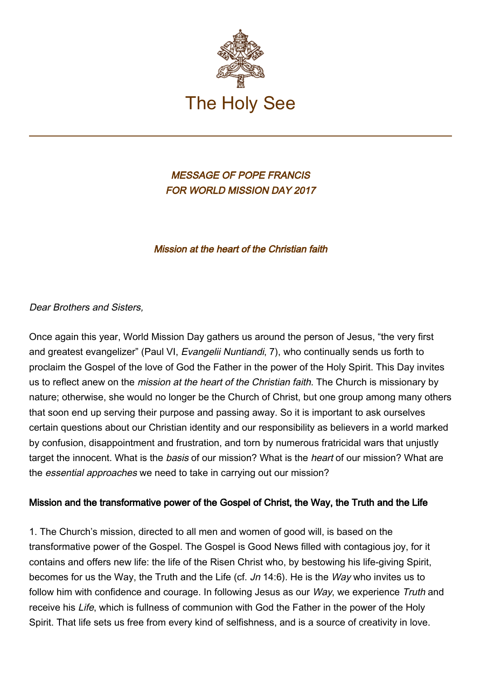

MESSAGE OF POPE FRANCIS FOR WORLD MISSION DAY 2017

Mission at the heart of the Christian faith

Dear Brothers and Sisters,

Once again this year, World Mission Day gathers us around the person of Jesus, "the very first and greatest evangelizer" (Paul VI, Evangelii Nuntiandi, 7), who continually sends us forth to proclaim the Gospel of the love of God the Father in the power of the Holy Spirit. This Day invites us to reflect anew on the *mission at the heart of the Christian faith*. The Church is missionary by nature; otherwise, she would no longer be the Church of Christ, but one group among many others that soon end up serving their purpose and passing away. So it is important to ask ourselves certain questions about our Christian identity and our responsibility as believers in a world marked by confusion, disappointment and frustration, and torn by numerous fratricidal wars that unjustly target the innocent. What is the basis of our mission? What is the heart of our mission? What are the essential approaches we need to take in carrying out our mission?

#### Mission and the transformative power of the Gospel of Christ, the Way, the Truth and the Life

1. The Church's mission, directed to all men and women of good will, is based on the transformative power of the Gospel. The Gospel is Good News filled with contagious joy, for it contains and offers new life: the life of the Risen Christ who, by bestowing his life-giving Spirit, becomes for us the Way, the Truth and the Life (cf. Jn 14:6). He is the Way who invites us to follow him with confidence and courage. In following Jesus as our Way, we experience Truth and receive his Life, which is fullness of communion with God the Father in the power of the Holy Spirit. That life sets us free from every kind of selfishness, and is a source of creativity in love.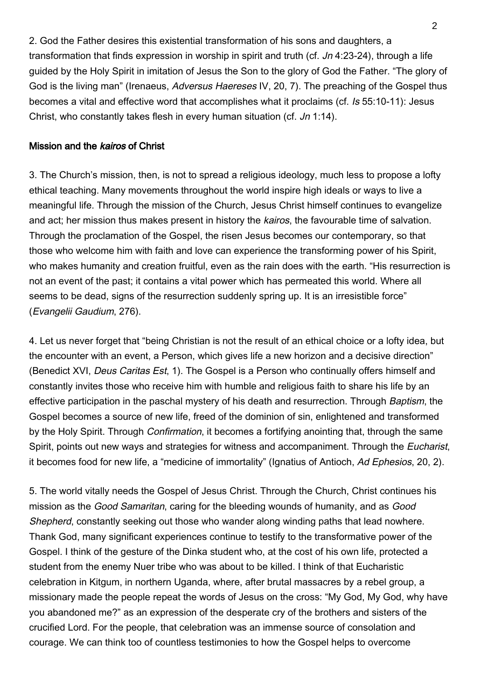2. God the Father desires this existential transformation of his sons and daughters, a transformation that finds expression in worship in spirit and truth (cf. Jn 4:23-24), through a life guided by the Holy Spirit in imitation of Jesus the Son to the glory of God the Father. "The glory of God is the living man" (Irenaeus, Adversus Haereses IV, 20, 7). The preaching of the Gospel thus becomes a vital and effective word that accomplishes what it proclaims (cf. Is 55:10-11): Jesus Christ, who constantly takes flesh in every human situation (cf. Jn 1:14).

#### Mission and the kairos of Christ

3. The Church's mission, then, is not to spread a religious ideology, much less to propose a lofty ethical teaching. Many movements throughout the world inspire high ideals or ways to live a meaningful life. Through the mission of the Church, Jesus Christ himself continues to evangelize and act; her mission thus makes present in history the kairos, the favourable time of salvation. Through the proclamation of the Gospel, the risen Jesus becomes our contemporary, so that those who welcome him with faith and love can experience the transforming power of his Spirit, who makes humanity and creation fruitful, even as the rain does with the earth. "His resurrection is not an event of the past; it contains a vital power which has permeated this world. Where all seems to be dead, signs of the resurrection suddenly spring up. It is an irresistible force" (Evangelii Gaudium, 276).

4. Let us never forget that "being Christian is not the result of an ethical choice or a lofty idea, but the encounter with an event, a Person, which gives life a new horizon and a decisive direction" (Benedict XVI, Deus Caritas Est, 1). The Gospel is a Person who continually offers himself and constantly invites those who receive him with humble and religious faith to share his life by an effective participation in the paschal mystery of his death and resurrection. Through Baptism, the Gospel becomes a source of new life, freed of the dominion of sin, enlightened and transformed by the Holy Spirit. Through Confirmation, it becomes a fortifying anointing that, through the same Spirit, points out new ways and strategies for witness and accompaniment. Through the Eucharist, it becomes food for new life, a "medicine of immortality" (Ignatius of Antioch, Ad Ephesios, 20, 2).

5. The world vitally needs the Gospel of Jesus Christ. Through the Church, Christ continues his mission as the Good Samaritan, caring for the bleeding wounds of humanity, and as Good Shepherd, constantly seeking out those who wander along winding paths that lead nowhere. Thank God, many significant experiences continue to testify to the transformative power of the Gospel. I think of the gesture of the Dinka student who, at the cost of his own life, protected a student from the enemy Nuer tribe who was about to be killed. I think of that Eucharistic celebration in Kitgum, in northern Uganda, where, after brutal massacres by a rebel group, a missionary made the people repeat the words of Jesus on the cross: "My God, My God, why have you abandoned me?" as an expression of the desperate cry of the brothers and sisters of the crucified Lord. For the people, that celebration was an immense source of consolation and courage. We can think too of countless testimonies to how the Gospel helps to overcome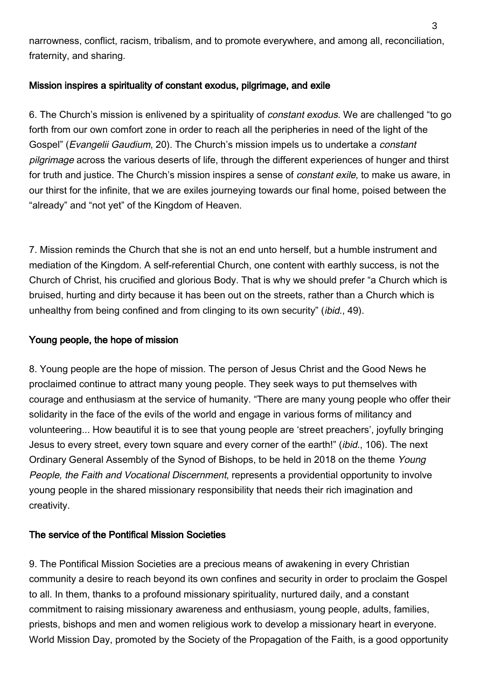narrowness, conflict, racism, tribalism, and to promote everywhere, and among all, reconciliation, fraternity, and sharing.

## Mission inspires a spirituality of constant exodus, pilgrimage, and exile

6. The Church's mission is enlivened by a spirituality of constant exodus. We are challenged "to go forth from our own comfort zone in order to reach all the peripheries in need of the light of the Gospel" (Evangelii Gaudium, 20). The Church's mission impels us to undertake a constant pilgrimage across the various deserts of life, through the different experiences of hunger and thirst for truth and justice. The Church's mission inspires a sense of *constant exile*, to make us aware, in our thirst for the infinite, that we are exiles journeying towards our final home, poised between the "already" and "not yet" of the Kingdom of Heaven.

7. Mission reminds the Church that she is not an end unto herself, but a humble instrument and mediation of the Kingdom. A self-referential Church, one content with earthly success, is not the Church of Christ, his crucified and glorious Body. That is why we should prefer "a Church which is bruised, hurting and dirty because it has been out on the streets, rather than a Church which is unhealthy from being confined and from clinging to its own security" (ibid., 49).

### Young people, the hope of mission

8. Young people are the hope of mission. The person of Jesus Christ and the Good News he proclaimed continue to attract many young people. They seek ways to put themselves with courage and enthusiasm at the service of humanity. "There are many young people who offer their solidarity in the face of the evils of the world and engage in various forms of militancy and volunteering... How beautiful it is to see that young people are 'street preachers', joyfully bringing Jesus to every street, every town square and every corner of the earth!" (ibid., 106). The next Ordinary General Assembly of the Synod of Bishops, to be held in 2018 on the theme Young People, the Faith and Vocational Discernment, represents a providential opportunity to involve young people in the shared missionary responsibility that needs their rich imagination and creativity.

#### The service of the Pontifical Mission Societies

9. The Pontifical Mission Societies are a precious means of awakening in every Christian community a desire to reach beyond its own confines and security in order to proclaim the Gospel to all. In them, thanks to a profound missionary spirituality, nurtured daily, and a constant commitment to raising missionary awareness and enthusiasm, young people, adults, families, priests, bishops and men and women religious work to develop a missionary heart in everyone. World Mission Day, promoted by the Society of the Propagation of the Faith, is a good opportunity